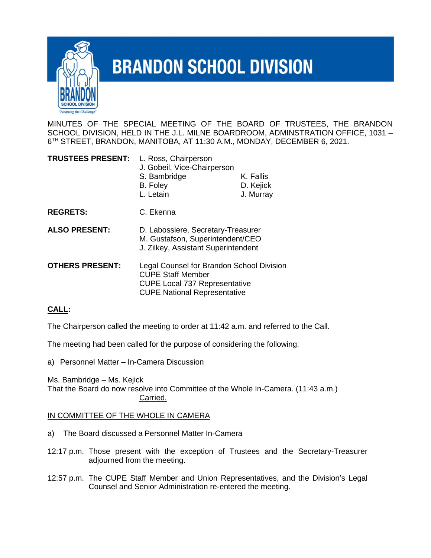

## **BRANDON SCHOOL DIVISION**

MINUTES OF THE SPECIAL MEETING OF THE BOARD OF TRUSTEES, THE BRANDON SCHOOL DIVISION, HELD IN THE J.L. MILNE BOARDROOM, ADMINSTRATION OFFICE, 1031 – 6 TH STREET, BRANDON, MANITOBA, AT 11:30 A.M., MONDAY, DECEMBER 6, 2021.

| <b>TRUSTEES PRESENT:</b> | L. Ross, Chairperson<br>J. Gobeil, Vice-Chairperson<br>S. Bambridge<br>B. Foley<br>L. Letain                                                         | K. Fallis<br>D. Kejick<br>J. Murray |
|--------------------------|------------------------------------------------------------------------------------------------------------------------------------------------------|-------------------------------------|
| <b>REGRETS:</b>          | C. Ekenna                                                                                                                                            |                                     |
| <b>ALSO PRESENT:</b>     | D. Labossiere, Secretary-Treasurer<br>M. Gustafson, Superintendent/CEO<br>J. Zilkey, Assistant Superintendent                                        |                                     |
| <b>OTHERS PRESENT:</b>   | Legal Counsel for Brandon School Division<br><b>CUPE Staff Member</b><br><b>CUPE Local 737 Representative</b><br><b>CUPE National Representative</b> |                                     |

## **CALL:**

The Chairperson called the meeting to order at 11:42 a.m. and referred to the Call.

The meeting had been called for the purpose of considering the following:

a) Personnel Matter – In-Camera Discussion

Ms. Bambridge – Ms. Kejick That the Board do now resolve into Committee of the Whole In-Camera. (11:43 a.m.) Carried.

## IN COMMITTEE OF THE WHOLE IN CAMERA

- a) The Board discussed a Personnel Matter In-Camera
- 12:17 p.m. Those present with the exception of Trustees and the Secretary-Treasurer adjourned from the meeting.
- 12:57 p.m. The CUPE Staff Member and Union Representatives, and the Division's Legal Counsel and Senior Administration re-entered the meeting.